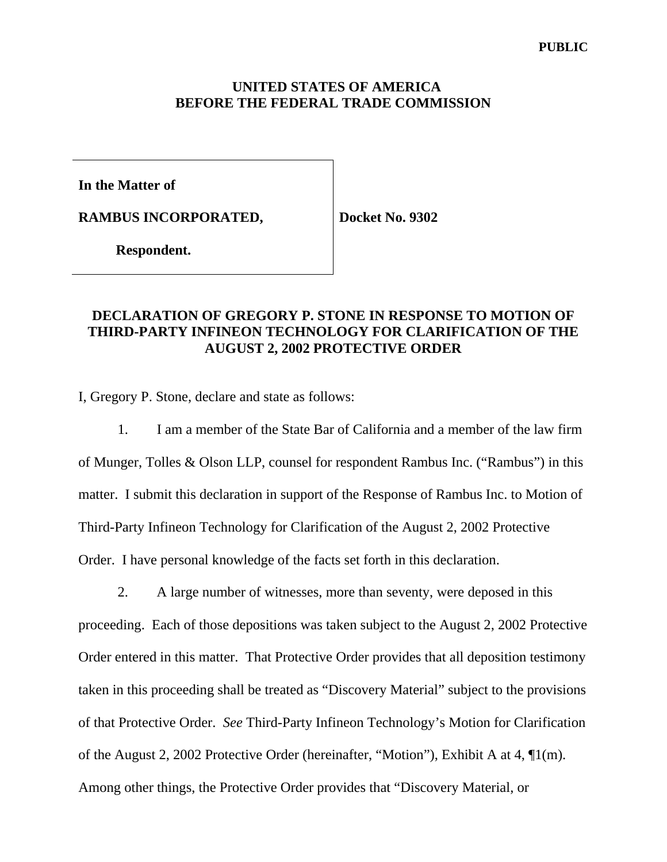### **UNITED STATES OF AMERICA BEFORE THE FEDERAL TRADE COMMISSION**

**In the Matter of** 

**RAMBUS INCORPORATED,** 

**Docket No. 9302** 

 **Respondent.**

# **DECLARATION OF GREGORY P. STONE IN RESPONSE TO MOTION OF THIRD-PARTY INFINEON TECHNOLOGY FOR CLARIFICATION OF THE AUGUST 2, 2002 PROTECTIVE ORDER**

I, Gregory P. Stone, declare and state as follows:

 1. I am a member of the State Bar of California and a member of the law firm of Munger, Tolles & Olson LLP, counsel for respondent Rambus Inc. ("Rambus") in this matter. I submit this declaration in support of the Response of Rambus Inc. to Motion of Third-Party Infineon Technology for Clarification of the August 2, 2002 Protective Order. I have personal knowledge of the facts set forth in this declaration.

 2. A large number of witnesses, more than seventy, were deposed in this proceeding. Each of those depositions was taken subject to the August 2, 2002 Protective Order entered in this matter. That Protective Order provides that all deposition testimony taken in this proceeding shall be treated as "Discovery Material" subject to the provisions of that Protective Order. *See* Third-Party Infineon Technology's Motion for Clarification of the August 2, 2002 Protective Order (hereinafter, "Motion"), Exhibit A at 4, ¶1(m). Among other things, the Protective Order provides that "Discovery Material, or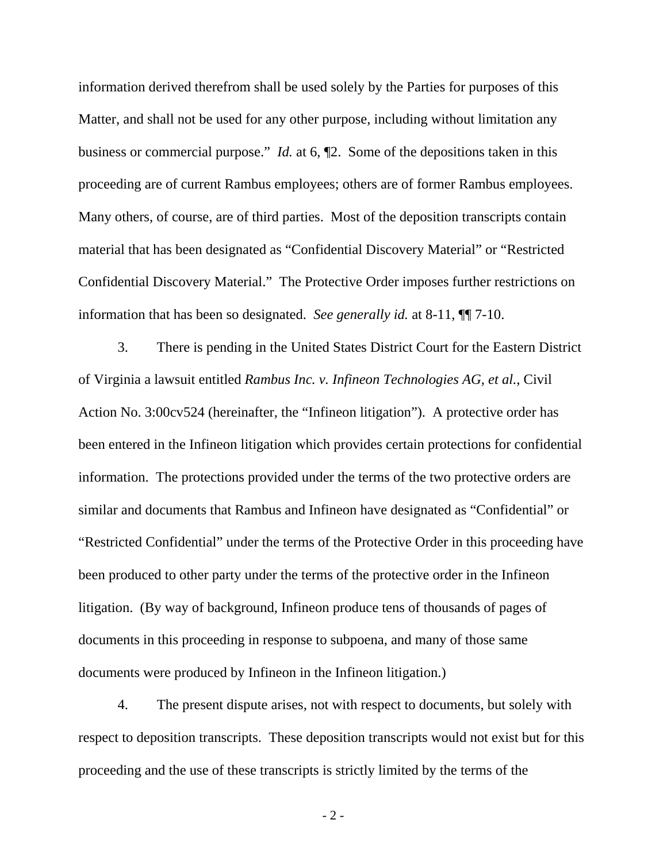information derived therefrom shall be used solely by the Parties for purposes of this Matter, and shall not be used for any other purpose, including without limitation any business or commercial purpose." *Id.* at 6, ¶2. Some of the depositions taken in this proceeding are of current Rambus employees; others are of former Rambus employees. Many others, of course, are of third parties. Most of the deposition transcripts contain material that has been designated as "Confidential Discovery Material" or "Restricted Confidential Discovery Material." The Protective Order imposes further restrictions on information that has been so designated. *See generally id.* at 8-11, ¶¶ 7-10.

 3. There is pending in the United States District Court for the Eastern District of Virginia a lawsuit entitled *Rambus Inc. v. Infineon Technologies AG, et al.*, Civil Action No. 3:00cv524 (hereinafter, the "Infineon litigation"). A protective order has been entered in the Infineon litigation which provides certain protections for confidential information. The protections provided under the terms of the two protective orders are similar and documents that Rambus and Infineon have designated as "Confidential" or "Restricted Confidential" under the terms of the Protective Order in this proceeding have been produced to other party under the terms of the protective order in the Infineon litigation. (By way of background, Infineon produce tens of thousands of pages of documents in this proceeding in response to subpoena, and many of those same documents were produced by Infineon in the Infineon litigation.)

 4. The present dispute arises, not with respect to documents, but solely with respect to deposition transcripts. These deposition transcripts would not exist but for this proceeding and the use of these transcripts is strictly limited by the terms of the

 $-2-$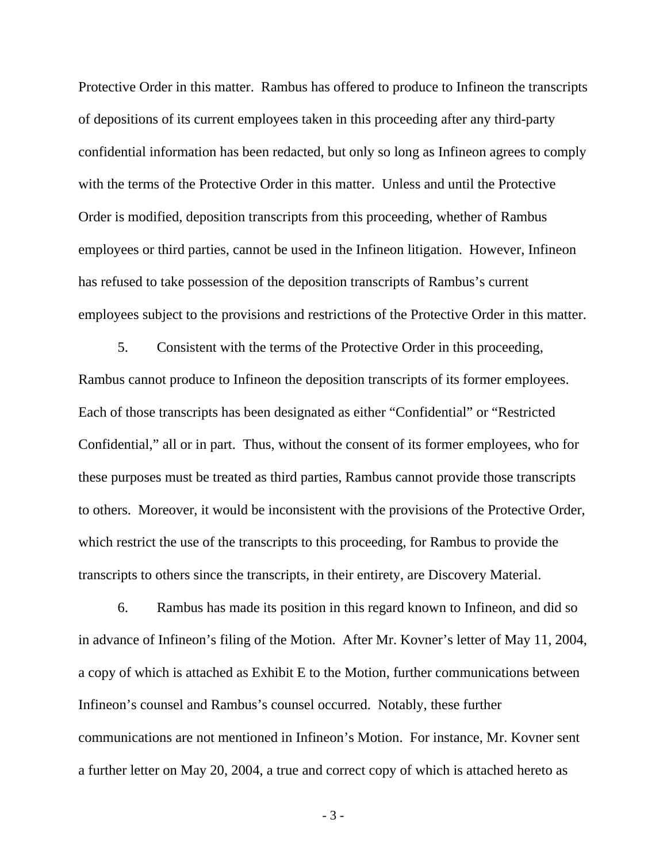Protective Order in this matter. Rambus has offered to produce to Infineon the transcripts of depositions of its current employees taken in this proceeding after any third-party confidential information has been redacted, but only so long as Infineon agrees to comply with the terms of the Protective Order in this matter. Unless and until the Protective Order is modified, deposition transcripts from this proceeding, whether of Rambus employees or third parties, cannot be used in the Infineon litigation. However, Infineon has refused to take possession of the deposition transcripts of Rambus's current employees subject to the provisions and restrictions of the Protective Order in this matter.

 5. Consistent with the terms of the Protective Order in this proceeding, Rambus cannot produce to Infineon the deposition transcripts of its former employees. Each of those transcripts has been designated as either "Confidential" or "Restricted Confidential," all or in part. Thus, without the consent of its former employees, who for these purposes must be treated as third parties, Rambus cannot provide those transcripts to others. Moreover, it would be inconsistent with the provisions of the Protective Order, which restrict the use of the transcripts to this proceeding, for Rambus to provide the transcripts to others since the transcripts, in their entirety, are Discovery Material.

 6. Rambus has made its position in this regard known to Infineon, and did so in advance of Infineon's filing of the Motion. After Mr. Kovner's letter of May 11, 2004, a copy of which is attached as Exhibit E to the Motion, further communications between Infineon's counsel and Rambus's counsel occurred. Notably, these further communications are not mentioned in Infineon's Motion. For instance, Mr. Kovner sent a further letter on May 20, 2004, a true and correct copy of which is attached hereto as

 $-3-$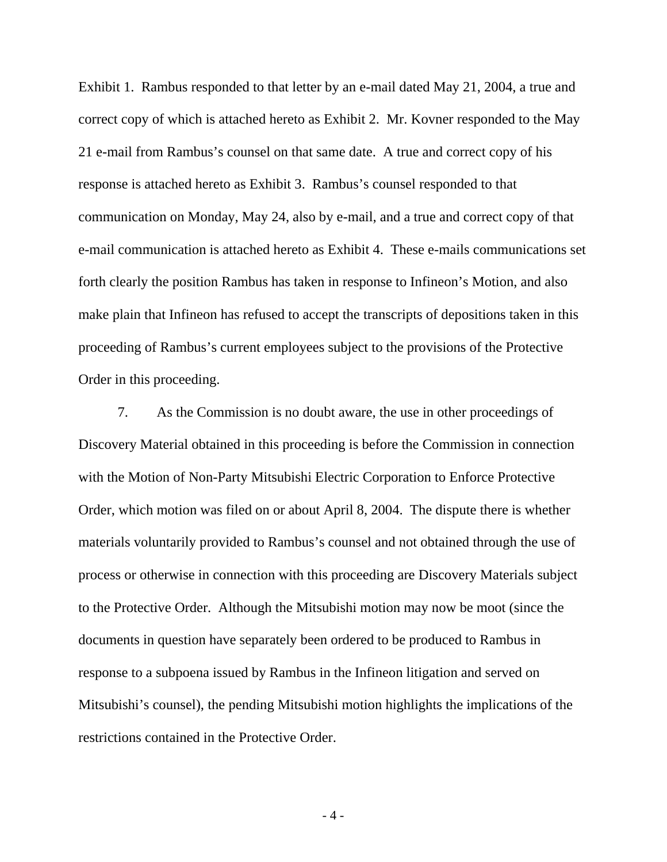Exhibit 1. Rambus responded to that letter by an e-mail dated May 21, 2004, a true and correct copy of which is attached hereto as Exhibit 2. Mr. Kovner responded to the May 21 e-mail from Rambus's counsel on that same date. A true and correct copy of his response is attached hereto as Exhibit 3. Rambus's counsel responded to that communication on Monday, May 24, also by e-mail, and a true and correct copy of that e-mail communication is attached hereto as Exhibit 4. These e-mails communications set forth clearly the position Rambus has taken in response to Infineon's Motion, and also make plain that Infineon has refused to accept the transcripts of depositions taken in this proceeding of Rambus's current employees subject to the provisions of the Protective Order in this proceeding.

 7. As the Commission is no doubt aware, the use in other proceedings of Discovery Material obtained in this proceeding is before the Commission in connection with the Motion of Non-Party Mitsubishi Electric Corporation to Enforce Protective Order, which motion was filed on or about April 8, 2004. The dispute there is whether materials voluntarily provided to Rambus's counsel and not obtained through the use of process or otherwise in connection with this proceeding are Discovery Materials subject to the Protective Order. Although the Mitsubishi motion may now be moot (since the documents in question have separately been ordered to be produced to Rambus in response to a subpoena issued by Rambus in the Infineon litigation and served on Mitsubishi's counsel), the pending Mitsubishi motion highlights the implications of the restrictions contained in the Protective Order.

 $-4-$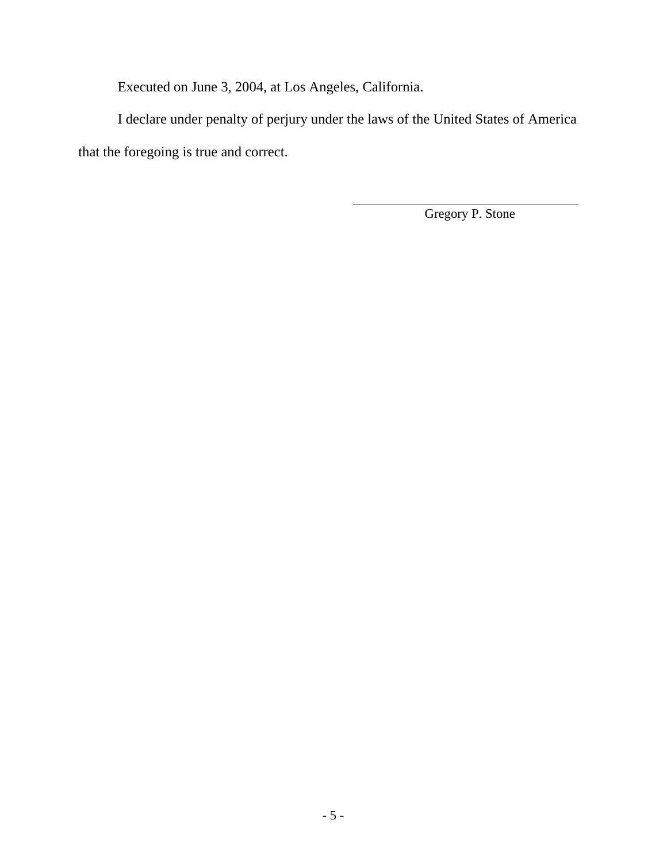Executed on June 3, 2004, at Los Angeles, California.

 I declare under penalty of perjury under the laws of the United States of America that the foregoing is true and correct.

l

Gregory P. Stone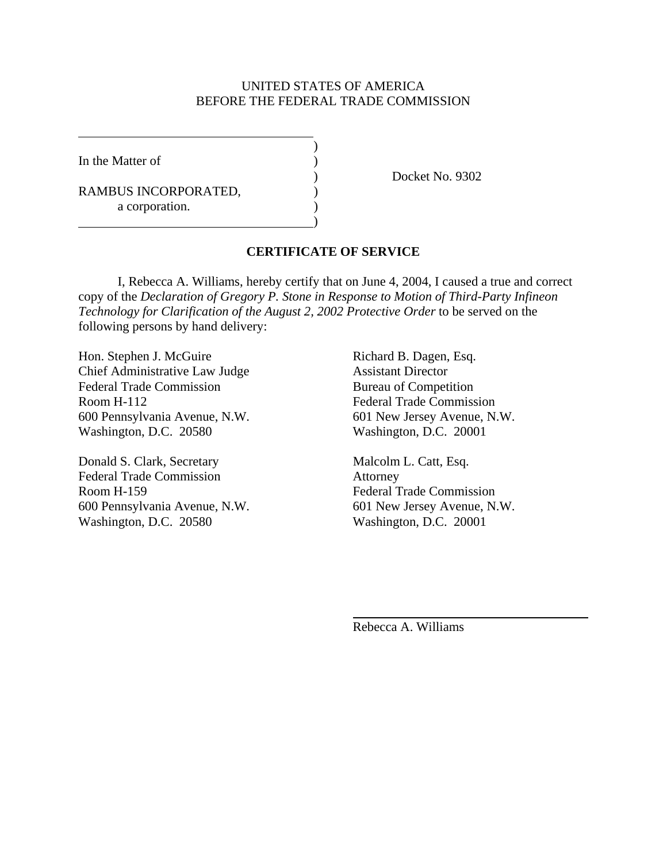### UNITED STATES OF AMERICA BEFORE THE FEDERAL TRADE COMMISSION

In the Matter of  $\qquad \qquad$  )

 $\overline{a}$ 

RAMBUS INCORPORATED,  $($ a corporation.

 $\overline{\phantom{a}}$ 

 $\hspace{1.5cm}$ ) and  $\hspace{1.5cm}$  and  $\hspace{1.5cm}$  and  $\hspace{1.5cm}$ 

) Docket No. 9302

## **CERTIFICATE OF SERVICE**

 I, Rebecca A. Williams, hereby certify that on June 4, 2004, I caused a true and correct copy of the *Declaration of Gregory P. Stone in Response to Motion of Third-Party Infineon Technology for Clarification of the August 2, 2002 Protective Order* to be served on the following persons by hand delivery:

Hon. Stephen J. McGuire Richard B. Dagen, Esq. Chief Administrative Law Judge Assistant Director Federal Trade Commission Bureau of Competition Room H-112 Federal Trade Commission 600 Pennsylvania Avenue, N.W. 601 New Jersey Avenue, N.W. Washington, D.C. 20580 Washington, D.C. 20001

Donald S. Clark, Secretary Malcolm L. Catt, Esq. Federal Trade Commission Attorney Room H-159 Federal Trade Commission 600 Pennsylvania Avenue, N.W. 601 New Jersey Avenue, N.W. Washington, D.C. 20580 Washington, D.C. 20001

Rebecca A. Williams